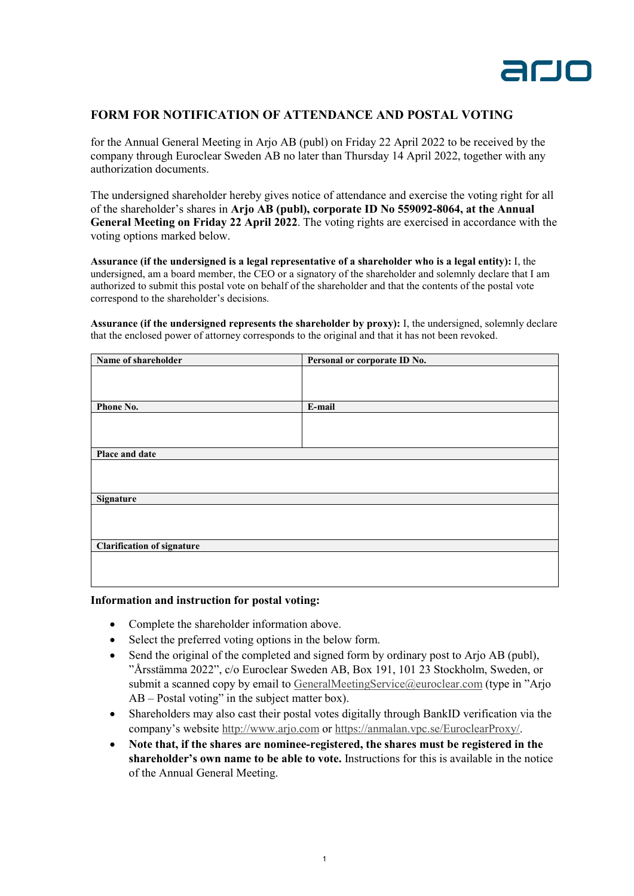

## **FORM FOR NOTIFICATION OF ATTENDANCE AND POSTAL VOTING**

for the Annual General Meeting in Arjo AB (publ) on Friday 22 April 2022 to be received by the company through Euroclear Sweden AB no later than Thursday 14 April 2022, together with any authorization documents.

The undersigned shareholder hereby gives notice of attendance and exercise the voting right for all of the shareholder's shares in **Arjo AB (publ), corporate ID No 559092-8064, at the Annual General Meeting on Friday 22 April 2022**. The voting rights are exercised in accordance with the voting options marked below.

**Assurance (if the undersigned is a legal representative of a shareholder who is a legal entity):** I, the undersigned, am a board member, the CEO or a signatory of the shareholder and solemnly declare that I am authorized to submit this postal vote on behalf of the shareholder and that the contents of the postal vote correspond to the shareholder's decisions.

**Assurance (if the undersigned represents the shareholder by proxy):** I, the undersigned, solemnly declare that the enclosed power of attorney corresponds to the original and that it has not been revoked.

| Name of shareholder               | Personal or corporate ID No. |
|-----------------------------------|------------------------------|
|                                   |                              |
|                                   |                              |
|                                   |                              |
| Phone No.                         | E-mail                       |
|                                   |                              |
|                                   |                              |
|                                   |                              |
| Place and date                    |                              |
|                                   |                              |
|                                   |                              |
|                                   |                              |
| <b>Signature</b>                  |                              |
|                                   |                              |
|                                   |                              |
|                                   |                              |
| <b>Clarification of signature</b> |                              |
|                                   |                              |
|                                   |                              |
|                                   |                              |

## **Information and instruction for postal voting:**

- Complete the shareholder information above.
- Select the preferred voting options in the below form.
- Send the original of the completed and signed form by ordinary post to Arjo AB (publ), "Årsstämma 2022", c/o Euroclear Sweden AB, Box 191, 101 23 Stockholm, Sweden, or submit a scanned copy by email to [GeneralMeetingService@euroclear.com](mailto:GeneralMeetingService@euroclear.com?subject=Arjo%20AB%20-%20Postal%20voting) (type in "Arjo AB – Postal voting" in the subject matter box).
- Shareholders may also cast their postal votes digitally through BankID verification via the company's website [http://www.arjo.com](http://www.arjo.com/) or [https://anmalan.vpc.se/EuroclearProxy/.](https://anmalan.vpc.se/EuroclearProxy/)
- **Note that, if the shares are nominee-registered, the shares must be registered in the shareholder's own name to be able to vote.** Instructions for this is available in the notice of the Annual General Meeting.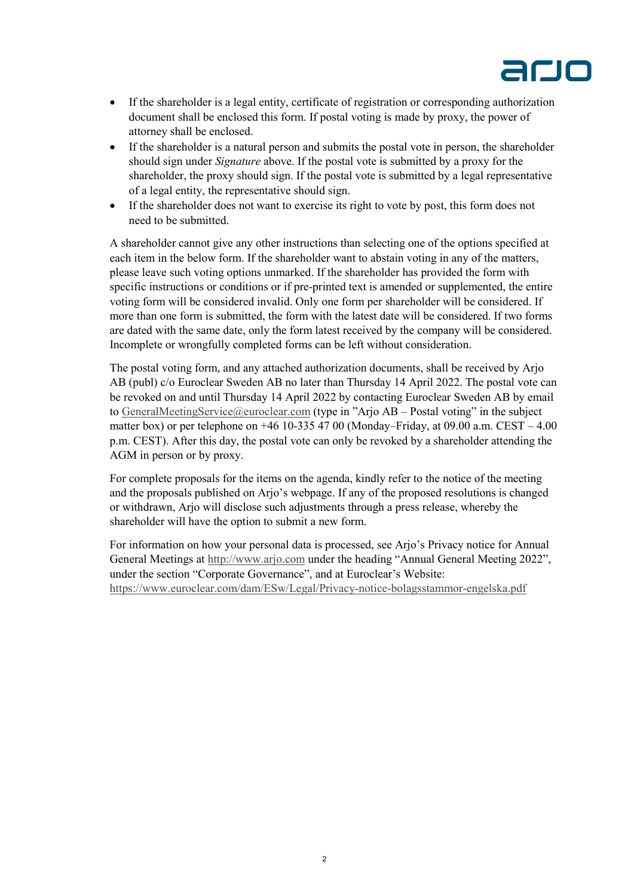

- If the shareholder is a legal entity, certificate of registration or corresponding authorization document shall be enclosed this form. If postal voting is made by proxy, the power of attorney shall be enclosed.
- If the shareholder is a natural person and submits the postal vote in person, the shareholder should sign under *Signature* above. If the postal vote is submitted by a proxy for the shareholder, the proxy should sign. If the postal vote is submitted by a legal representative of a legal entity, the representative should sign.
- If the shareholder does not want to exercise its right to vote by post, this form does not need to be submitted.

A shareholder cannot give any other instructions than selecting one of the options specified at each item in the below form. If the shareholder want to abstain voting in any of the matters, please leave such voting options unmarked. If the shareholder has provided the form with specific instructions or conditions or if pre-printed text is amended or supplemented, the entire voting form will be considered invalid. Only one form per shareholder will be considered. If more than one form is submitted, the form with the latest date will be considered. If two forms are dated with the same date, only the form latest received by the company will be considered. Incomplete or wrongfully completed forms can be left without consideration.

The postal voting form, and any attached authorization documents, shall be received by Arjo AB (publ) c/o Euroclear Sweden AB no later than Thursday 14 April 2022. The postal vote can be revoked on and until Thursday 14 April 2022 by contacting Euroclear Sweden AB by email to [GeneralMeetingService@euroclear.com](mailto:GeneralMeetingService@euroclear.com?subject=Arjo%20AB%20-%20Postal%20voting) (type in "Arjo AB – Postal voting" in the subject matter box) or per telephone on  $+46$  10-335 47 00 (Monday–Friday, at 09.00 a.m. CEST – 4.00 p.m. CEST). After this day, the postal vote can only be revoked by a shareholder attending the AGM in person or by proxy.

For complete proposals for the items on the agenda, kindly refer to the notice of the meeting and the proposals published on Arjo's webpage. If any of the proposed resolutions is changed or withdrawn, Arjo will disclose such adjustments through a press release, whereby the shareholder will have the option to submit a new form.

For information on how your personal data is processed, see Arjo's Privacy notice for Annual General Meetings at [http://www.arjo.com](http://www.arjo.com/) under the heading "Annual General Meeting 2022", under the section "Corporate Governance", and at Euroclear's Website: <https://www.euroclear.com/dam/ESw/Legal/Privacy-notice-bolagsstammor-engelska.pdf>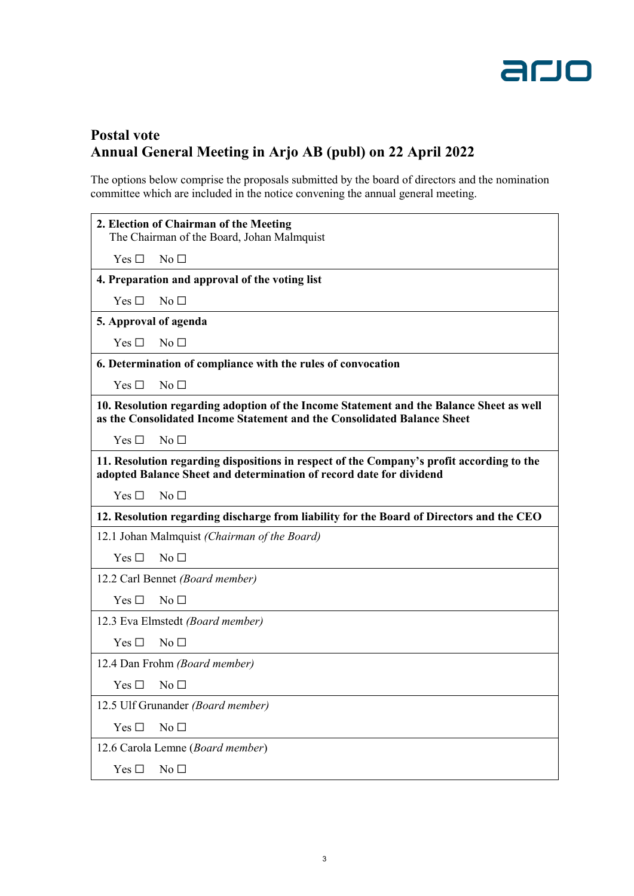

## **Postal vote Annual General Meeting in Arjo AB (publ) on 22 April 2022**

The options below comprise the proposals submitted by the board of directors and the nomination committee which are included in the notice convening the annual general meeting.

|                                                                                                                                                                    | 2. Election of Chairman of the Meeting |
|--------------------------------------------------------------------------------------------------------------------------------------------------------------------|----------------------------------------|
| The Chairman of the Board, Johan Malmquist                                                                                                                         |                                        |
| Yes $\Box$                                                                                                                                                         | No <sub>1</sub>                        |
| 4. Preparation and approval of the voting list                                                                                                                     |                                        |
| Yes $\square$                                                                                                                                                      | No <sub>1</sub>                        |
| 5. Approval of agenda                                                                                                                                              |                                        |
| Yes $\Box$                                                                                                                                                         | No <sub>1</sub>                        |
| 6. Determination of compliance with the rules of convocation                                                                                                       |                                        |
| Yes $\Box$                                                                                                                                                         | No <sub>1</sub>                        |
| 10. Resolution regarding adoption of the Income Statement and the Balance Sheet as well<br>as the Consolidated Income Statement and the Consolidated Balance Sheet |                                        |
| Yes $\Box$                                                                                                                                                         | No <sub>1</sub>                        |
| 11. Resolution regarding dispositions in respect of the Company's profit according to the<br>adopted Balance Sheet and determination of record date for dividend   |                                        |
| Yes $\Box$                                                                                                                                                         | No <sub>1</sub>                        |
| 12. Resolution regarding discharge from liability for the Board of Directors and the CEO                                                                           |                                        |
| 12.1 Johan Malmquist (Chairman of the Board)                                                                                                                       |                                        |
| Yes $\Box$                                                                                                                                                         | No <sub>1</sub>                        |
| 12.2 Carl Bennet (Board member)                                                                                                                                    |                                        |
| Yes $\Box$                                                                                                                                                         | No <sub>1</sub>                        |
| 12.3 Eva Elmstedt (Board member)                                                                                                                                   |                                        |
| Yes $\square$                                                                                                                                                      | No <sub>1</sub>                        |
| 12.4 Dan Frohm (Board member)                                                                                                                                      |                                        |
| $Yes \Box No \Box$                                                                                                                                                 |                                        |
| 12.5 Ulf Grunander (Board member)                                                                                                                                  |                                        |
| Yes $\square$                                                                                                                                                      | No $\square$                           |
| 12.6 Carola Lemne (Board member)                                                                                                                                   |                                        |
| Yes $\square$                                                                                                                                                      | No <sub>1</sub>                        |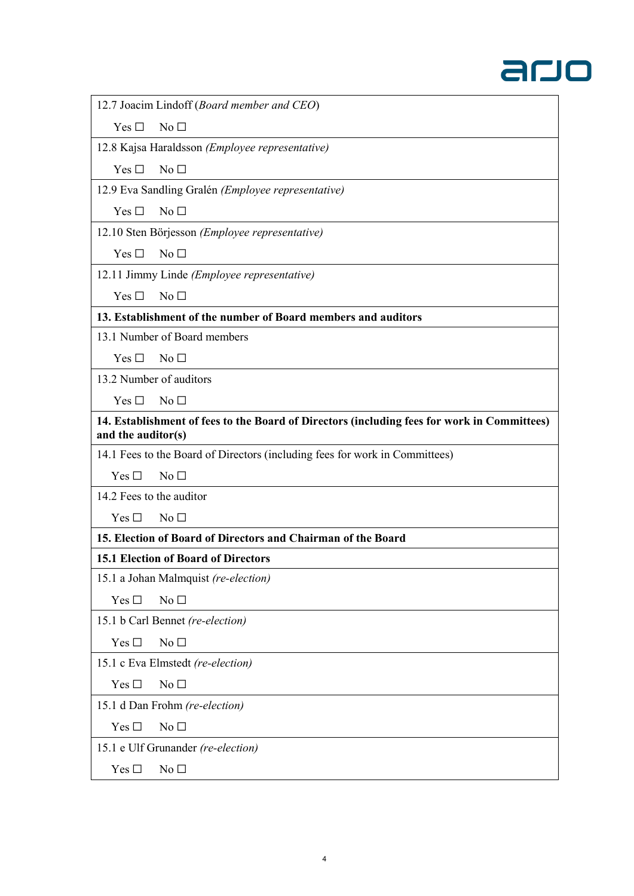

12.7 Joacim Lindoff (*Board member and CEO*)

 $Yes \Box No \Box$ 

12.8 Kajsa Haraldsson *(Employee representative)*

Yes □ No □

12.9 Eva Sandling Gralén *(Employee representative)*

 $Yes \Box No \Box$ 

12.10 Sten Börjesson *(Employee representative)*

Yes □ No □

12.11 Jimmy Linde *(Employee representative)*

 $Yes \Box No \Box$ 

**13. Establishment of the number of Board members and auditors**

13.1 Number of Board members

 $Yes \Box No \Box$ 

13.2 Number of auditors

 $Yes \Box No \Box$ 

**14. Establishment of fees to the Board of Directors (including fees for work in Committees) and the auditor(s)**

14.1 Fees to the Board of Directors (including fees for work in Committees)

 $Yes \Box \ No \Box$ 

14.2 Fees to the auditor

 $Yes \Box \ No \Box$ 

**15. Election of Board of Directors and Chairman of the Board**

## **15.1 Election of Board of Directors**

15.1 a Johan Malmquist *(re-election)*

 $Yes \Box \qquad No \Box$ 

15.1 b Carl Bennet *(re-election)*

 $Yes \Box \qquad No \Box$ 

15.1 c Eva Elmstedt *(re-election)*

 $Yes \Box \qquad No \Box$ 

15.1 d Dan Frohm *(re-election)*

Yes □ No □

15.1 e Ulf Grunander *(re-election)*

Yes □ No □